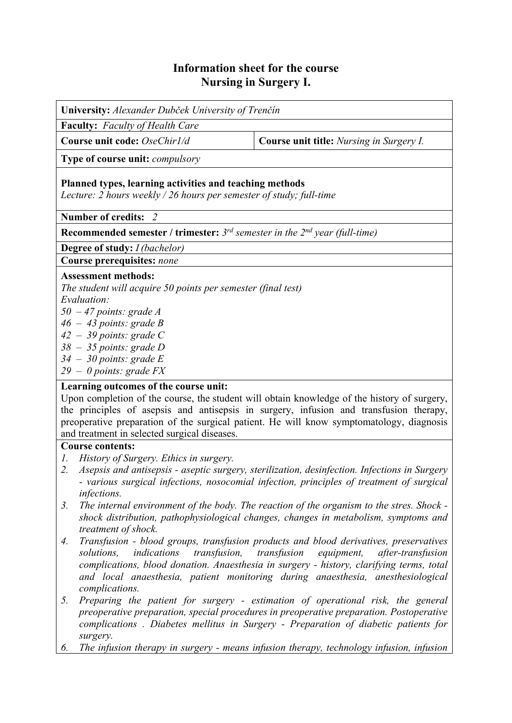# **Information sheet for the course Nursing in Surgery I.**

**University:** *Alexander Dubček University of Trenčín* **Faculty:** *Faculty of Health Care* **Course unit code:** *OseChir1/d* **Course unit title:** *Nursing in Surgery I.* **Type of course unit:** *compulsory* **Planned types, learning activities and teaching methods**  *Lecture: 2 hours weekly / 26 hours per semester of study; full-time*  **Number of credits:** *2* **Recommended semester / trimester:** *3rd semester in the 2nd year (full-time)* **Degree of study:** *I (bachelor)* **Course prerequisites:** *none* **Assessment methods:**  *The student will acquire 50 points per semester (final test) Evaluation:* 

- *50 47 points: grade A*
- *46 43 points: grade B*
- *42 39 points: grade C*
- *38 35 points: grade D*
- *34 30 points: grade E*
- *29 0 points: grade FX*

## **Learning outcomes of the course unit:**

Upon completion of the course, the student will obtain knowledge of the history of surgery, the principles of asepsis and antisepsis in surgery, infusion and transfusion therapy, preoperative preparation of the surgical patient. He will know symptomatology, diagnosis and treatment in selected surgical diseases.

#### **Course contents:**

- *1. History of Surgery. Ethics in surgery.*
- *2. Asepsis and antisepsis aseptic surgery, sterilization, desinfection. Infections in Surgery - various surgical infections, nosocomial infection, principles of treatment of surgical infections.*
- *3. The internal environment of the body. The reaction of the organism to the stres. Shock shock distribution, pathophysiological changes, changes in metabolism, symptoms and treatment of shock.*
- *4. Transfusion blood groups, transfusion products and blood derivatives, preservatives solutions, indications transfusion, transfusion equipment, after-transfusion complications, blood donation. Anaesthesia in surgery - history, clarifying terms, total and local anaesthesia, patient monitoring during anaesthesia, anesthesiological complications.*
- *5. Preparing the patient for surgery estimation of operational risk, the general preoperative preparation, special procedures in preoperative preparation. Postoperative complications . Diabetes mellitus in Surgery - Preparation of diabetic patients for surgery.*
- *6. The infusion therapy in surgery means infusion therapy, technology infusion, infusion*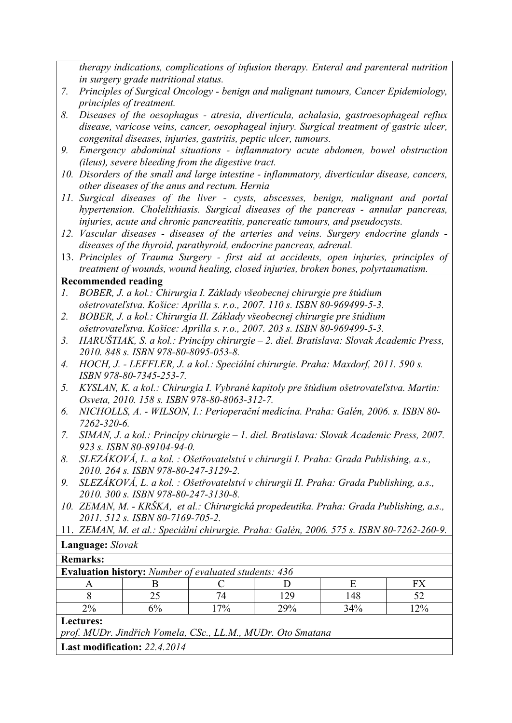*therapy indications, complications of infusion therapy. Enteral and parenteral nutrition in surgery grade nutritional status.* 

- *7. Principles of Surgical Oncology benign and malignant tumours, Cancer Epidemiology, principles of treatment.*
- *8. Diseases of the oesophagus atresia, diverticula, achalasia, gastroesophageal reflux disease, varicose veins, cancer, oesophageal injury. Surgical treatment of gastric ulcer, congenital diseases, injuries, gastritis, peptic ulcer, tumours.*
- *9. Emergency abdominal situations inflammatory acute abdomen, bowel obstruction (ileus), severe bleeding from the digestive tract.*
- *10. Disorders of the small and large intestine inflammatory, diverticular disease, cancers, other diseases of the anus and rectum. Hernia*
- *11. Surgical diseases of the liver cysts, abscesses, benign, malignant and portal hypertension. Cholelithiasis. Surgical diseases of the pancreas - annular pancreas, injuries, acute and chronic pancreatitis, pancreatic tumours, and pseudocysts.*
- *12. Vascular diseases diseases of the arteries and veins. Surgery endocrine glands diseases of the thyroid, parathyroid, endocrine pancreas, adrenal.*
- 13. *Principles of Trauma Surgery first aid at accidents, open injuries, principles of treatment of wounds, wound healing, closed injuries, broken bones, polyrtaumatism.*

### **Recommended reading**

- *1. BOBER, J. a kol.: Chirurgia I. Základy všeobecnej chirurgie pre štúdium ošetrovateľstva. Košice: Aprilla s. r.o., 2007. 110 s. ISBN 80-969499-5-3.*
- *2. BOBER, J. a kol.: Chirurgia II. Základy všeobecnej chirurgie pre štúdium ošetrovateľstva. Košice: Aprilla s. r.o., 2007. 203 s. ISBN 80-969499-5-3.*
- *3. HARUŠTIAK, S. a kol.: Princípy chirurgie 2. diel. Bratislava: Slovak Academic Press, 2010. 848 s. ISBN 978-80-8095-053-8.*
- *4. HOCH, J. LEFFLER, J. a kol.: Speciální chirurgie. Praha: Maxdorf, 2011. 590 s. ISBN 978-80-7345-253-7.*
- *5. KYSLAN, K. a kol.: Chirurgia I. Vybrané kapitoly pre štúdium ošetrovateľstva. Martin: Osveta, 2010. 158 s. ISBN 978-80-8063-312-7.*
- *6. NICHOLLS, A. WILSON, I.: Perioperační medicína. Praha: Galén, 2006. s. ISBN 80- 7262-320-6.*
- *7. SIMAN, J. a kol.: Princípy chirurgie 1. diel. Bratislava: Slovak Academic Press, 2007. 923 s. ISBN 80-89104-94-0.*
- *8. SLEZÁKOVÁ, L. a kol. : Ošetřovatelství v chirurgii I. Praha: Grada Publishing, a.s., 2010. 264 s. ISBN 978-80-247-3129-2.*
- *9. SLEZÁKOVÁ, L. a kol. : Ošetřovatelství v chirurgii II. Praha: Grada Publishing, a.s., 2010. 300 s. ISBN 978-80-247-3130-8.*
- *10. ZEMAN, M. KRŠKA, et al.: Chirurgická propedeutika. Praha: Grada Publishing, a.s., 2011. 512 s. ISBN 80-7169-705-2.*
- 11. *ZEMAN, M. et al.: Speciální chirurgie. Praha: Galén, 2006. 575 s. ISBN 80-7262-260-9.*

## **Language:** *Slovak*

### **Remarks:**

| <b>Evaluation history:</b> Number of evaluated students: 436 |       |     |     |     |     |
|--------------------------------------------------------------|-------|-----|-----|-----|-----|
| A                                                            |       |     |     | H   | FX  |
|                                                              | 25    | 74  | 129 | 148 |     |
| $2\%$                                                        | $6\%$ | 17% | 29% | 34% | 12% |
| Lectures:                                                    |       |     |     |     |     |
| prof. MUDr. Jindřich Vomela, CSc., LL.M., MUDr. Oto Smatana  |       |     |     |     |     |
| <b>Last modification:</b> 22.4.2014                          |       |     |     |     |     |